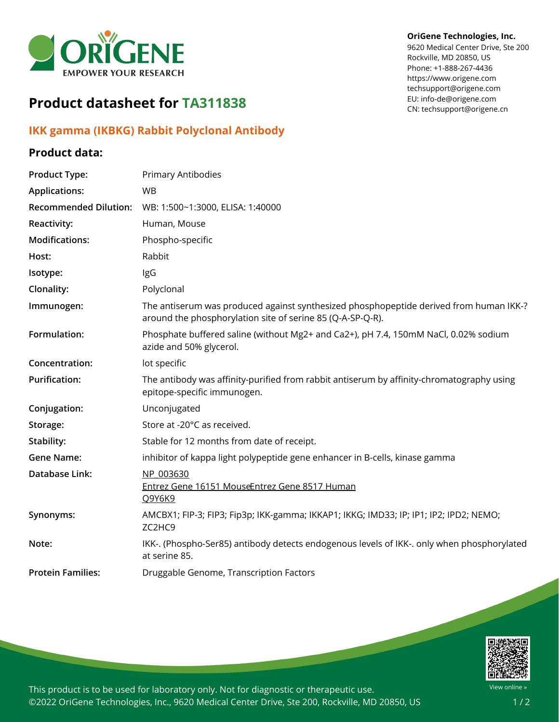

# **Product datasheet for TA311838**

# **IKK gamma (IKBKG) Rabbit Polyclonal Antibody**

## **Product data:**

#### **OriGene Technologies, Inc.**

9620 Medical Center Drive, Ste 200 Rockville, MD 20850, US Phone: +1-888-267-4436 https://www.origene.com techsupport@origene.com EU: info-de@origene.com CN: techsupport@origene.cn

| <b>Product Type:</b>         | Primary Antibodies                                                                                                                                   |
|------------------------------|------------------------------------------------------------------------------------------------------------------------------------------------------|
| <b>Applications:</b>         | <b>WB</b>                                                                                                                                            |
| <b>Recommended Dilution:</b> | WB: 1:500~1:3000, ELISA: 1:40000                                                                                                                     |
| <b>Reactivity:</b>           | Human, Mouse                                                                                                                                         |
| <b>Modifications:</b>        | Phospho-specific                                                                                                                                     |
| Host:                        | Rabbit                                                                                                                                               |
| Isotype:                     | IgG                                                                                                                                                  |
| Clonality:                   | Polyclonal                                                                                                                                           |
| Immunogen:                   | The antiserum was produced against synthesized phosphopeptide derived from human IKK-?<br>around the phosphorylation site of serine 85 (Q-A-SP-Q-R). |
| Formulation:                 | Phosphate buffered saline (without Mg2+ and Ca2+), pH 7.4, 150mM NaCl, 0.02% sodium<br>azide and 50% glycerol.                                       |
| Concentration:               | lot specific                                                                                                                                         |
| <b>Purification:</b>         | The antibody was affinity-purified from rabbit antiserum by affinity-chromatography using<br>epitope-specific immunogen.                             |
| Conjugation:                 | Unconjugated                                                                                                                                         |
| Storage:                     | Store at -20°C as received.                                                                                                                          |
| Stability:                   | Stable for 12 months from date of receipt.                                                                                                           |
| <b>Gene Name:</b>            | inhibitor of kappa light polypeptide gene enhancer in B-cells, kinase gamma                                                                          |
| Database Link:               | NP 003630<br>Entrez Gene 16151 MouseEntrez Gene 8517 Human<br>Q9Y6K9                                                                                 |
| Synonyms:                    | AMCBX1; FIP-3; FIP3; Fip3p; IKK-gamma; IKKAP1; IKKG; IMD33; IP; IP1; IP2; IPD2; NEMO;<br>ZC2HC9                                                      |
| Note:                        | IKK-. (Phospho-Ser85) antibody detects endogenous levels of IKK-. only when phosphorylated<br>at serine 85.                                          |
| <b>Protein Families:</b>     | Druggable Genome, Transcription Factors                                                                                                              |



This product is to be used for laboratory only. Not for diagnostic or therapeutic use. ©2022 OriGene Technologies, Inc., 9620 Medical Center Drive, Ste 200, Rockville, MD 20850, US